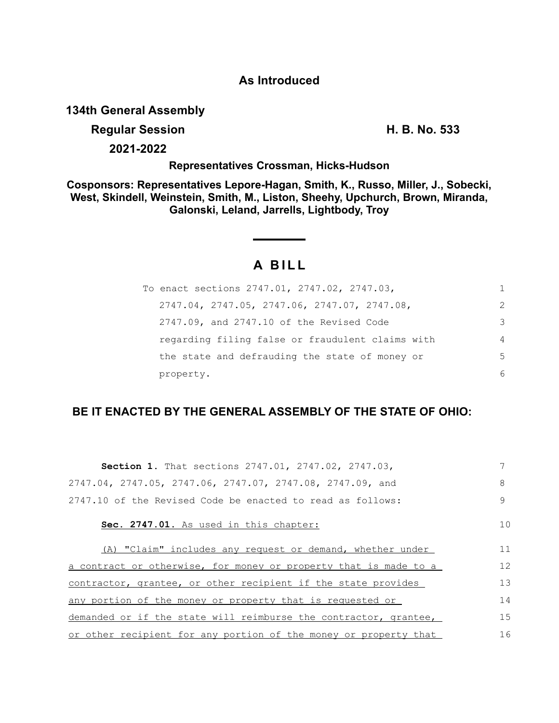## **As Introduced**

# **134th General Assembly**

# **Regular Session H. B. No. 533**

**2021-2022**

### **Representatives Crossman, Hicks-Hudson**

**Cosponsors: Representatives Lepore-Hagan, Smith, K., Russo, Miller, J., Sobecki, West, Skindell, Weinstein, Smith, M., Liston, Sheehy, Upchurch, Brown, Miranda, Galonski, Leland, Jarrells, Lightbody, Troy**

# **A B I L L**

| To enact sections 2747.01, 2747.02, 2747.03,                | 1              |
|-------------------------------------------------------------|----------------|
| $2747.04$ , $2747.05$ , $2747.06$ , $2747.07$ , $2747.08$ , | $\mathcal{P}$  |
| 2747.09, and 2747.10 of the Revised Code                    | 3              |
| regarding filing false or fraudulent claims with            | $\overline{4}$ |
| the state and defrauding the state of money or              | 5              |
| property.                                                   | 6              |

# **BE IT ENACTED BY THE GENERAL ASSEMBLY OF THE STATE OF OHIO:**

| <b>Section 1.</b> That sections 2747.01, 2747.02, 2747.03,       |    |
|------------------------------------------------------------------|----|
| 2747.04, 2747.05, 2747.06, 2747.07, 2747.08, 2747.09, and        | 8  |
| 2747.10 of the Revised Code be enacted to read as follows:       | 9  |
| Sec. 2747.01. As used in this chapter:                           | 10 |
| (A) "Claim" includes any request or demand, whether under        | 11 |
| a contract or otherwise, for money or property that is made to a | 12 |
| contractor, grantee, or other recipient if the state provides    | 13 |
| any portion of the money or property that is requested or        | 14 |
| demanded or if the state will reimburse the contractor, grantee, | 15 |
| or other recipient for any portion of the money or property that | 16 |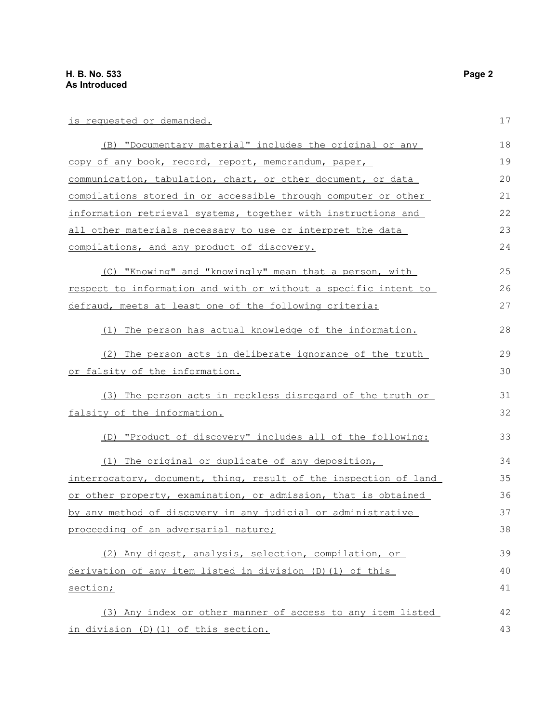| is requested or demanded.                                        | 17 |
|------------------------------------------------------------------|----|
| (B) "Documentary material" includes the original or any          | 18 |
| copy of any book, record, report, memorandum, paper,             | 19 |
| communication, tabulation, chart, or other document, or data     | 20 |
| compilations stored in or accessible through computer or other   | 21 |
| information retrieval systems, together with instructions and    | 22 |
| all other materials necessary to use or interpret the data       | 23 |
| compilations, and any product of discovery.                      | 24 |
| (C) "Knowing" and "knowingly" mean that a person, with           | 25 |
| respect to information and with or without a specific intent to  | 26 |
| defraud, meets at least one of the following criteria:           | 27 |
| (1) The person has actual knowledge of the information.          | 28 |
| (2) The person acts in deliberate ignorance of the truth         | 29 |
| or falsity of the information.                                   | 30 |
| (3) The person acts in reckless disregard of the truth or        | 31 |
| falsity of the information.                                      | 32 |
| (D) "Product of discovery" includes all of the following:        | 33 |
| (1) The original or duplicate of any deposition,                 | 34 |
| interrogatory, document, thing, result of the inspection of land | 35 |
| or other property, examination, or admission, that is obtained   | 36 |
| by any method of discovery in any judicial or administrative     | 37 |
| proceeding of an adversarial nature;                             | 38 |
| (2) Any digest, analysis, selection, compilation, or             | 39 |
| derivation of any item listed in division (D) (1) of this        | 40 |
| section;                                                         | 41 |
| (3) Any index or other manner of access to any item listed       | 42 |
| in division (D) (1) of this section.                             | 43 |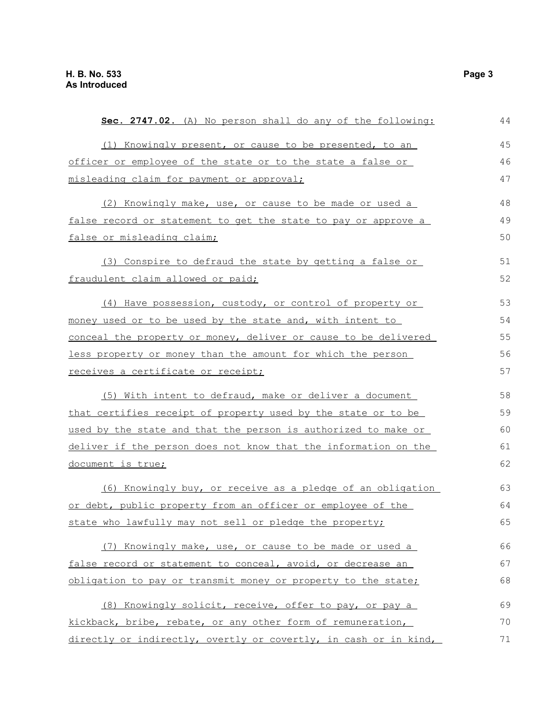| Sec. 2747.02. (A) No person shall do any of the following:       | 44 |
|------------------------------------------------------------------|----|
| (1) Knowingly present, or cause to be presented, to an           | 45 |
| officer or employee of the state or to the state a false or      | 46 |
| misleading claim for payment or approval;                        | 47 |
| (2) Knowingly make, use, or cause to be made or used a           | 48 |
| false record or statement to get the state to pay or approve a   | 49 |
| false or misleading claim;                                       | 50 |
| (3) Conspire to defraud the state by getting a false or          | 51 |
| fraudulent claim allowed or paid;                                | 52 |
| (4) Have possession, custody, or control of property or          | 53 |
| money used or to be used by the state and, with intent to        | 54 |
| conceal the property or money, deliver or cause to be delivered  | 55 |
| less property or money than the amount for which the person      | 56 |
| receives a certificate or receipt;                               | 57 |
| (5) With intent to defraud, make or deliver a document           | 58 |
| that certifies receipt of property used by the state or to be    | 59 |
| used by the state and that the person is authorized to make or   | 60 |
| deliver if the person does not know that the information on the  | 61 |
| document is true;                                                | 62 |
| (6) Knowingly buy, or receive as a pledge of an obligation       | 63 |
| or debt, public property from an officer or employee of the      | 64 |
| state who lawfully may not sell or pledge the property;          | 65 |
| (7) Knowingly make, use, or cause to be made or used a           | 66 |
| false record or statement to conceal, avoid, or decrease an      | 67 |
| obligation to pay or transmit money or property to the state;    | 68 |
| (8) Knowingly solicit, receive, offer to pay, or pay a           | 69 |
| kickback, bribe, rebate, or any other form of remuneration,      | 70 |
| directly or indirectly, overtly or covertly, in cash or in kind, | 71 |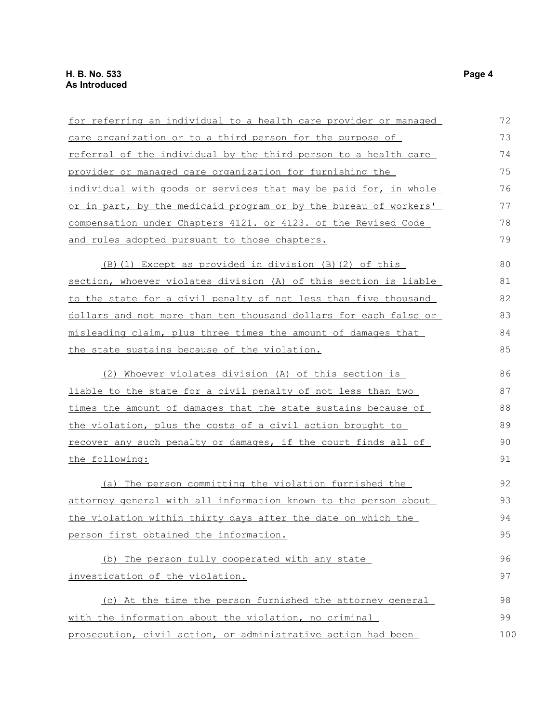| for referring an individual to a health care provider or managed       | 72  |
|------------------------------------------------------------------------|-----|
| care organization or to a third person for the purpose of              | 73  |
| <u>referral of the individual by the third person to a health care</u> | 74  |
| provider or managed care organization for furnishing the               | 75  |
| individual with goods or services that may be paid for, in whole       | 76  |
| or in part, by the medicaid program or by the bureau of workers'       | 77  |
| compensation under Chapters 4121. or 4123. of the Revised Code         | 78  |
| and rules adopted pursuant to those chapters.                          | 79  |
| (B) (1) Except as provided in division (B) (2) of this                 | 80  |
| section, whoever violates division (A) of this section is liable       | 81  |
| to the state for a civil penalty of not less than five thousand        | 82  |
| dollars and not more than ten thousand dollars for each false or       | 83  |
| misleading claim, plus three times the amount of damages that          | 84  |
| the state sustains because of the violation.                           | 85  |
| (2) Whoever violates division (A) of this section is                   | 86  |
| liable to the state for a civil penalty of not less than two           | 87  |
| times the amount of damages that the state sustains because of         | 88  |
| the violation, plus the costs of a civil action brought to             | 89  |
| recover any such penalty or damages, if the court finds all of         | 90  |
| the following:                                                         | 91  |
| (a) The person committing the violation furnished the                  | 92  |
| attorney general with all information known to the person about        | 93  |
| the violation within thirty days after the date on which the           | 94  |
| person first obtained the information.                                 | 95  |
| (b) The person fully cooperated with any state                         | 96  |
| investigation of the violation.                                        | 97  |
| (c) At the time the person furnished the attorney general              | 98  |
| with the information about the violation, no criminal                  | 99  |
| prosecution, civil action, or administrative action had been           | 100 |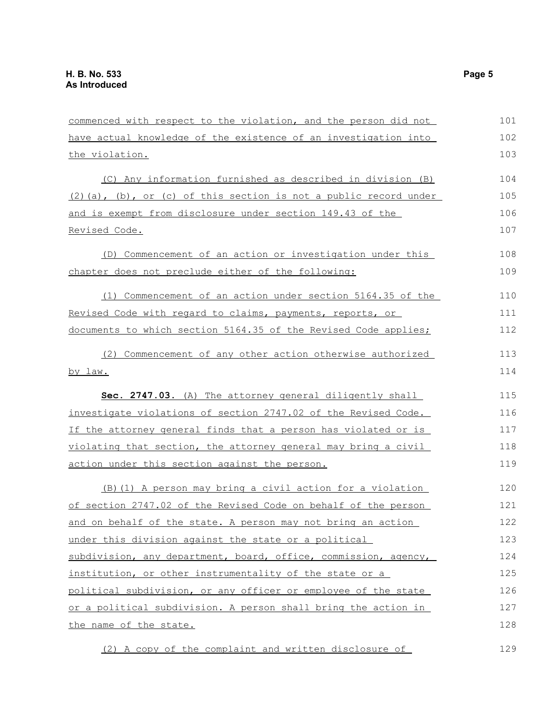| commenced with respect to the violation, and the person did not     | 101 |
|---------------------------------------------------------------------|-----|
| have actual knowledge of the existence of an investigation into     | 102 |
| the violation.                                                      | 103 |
| (C) Any information furnished as described in division (B)          | 104 |
| $(2)$ (a), (b), or (c) of this section is not a public record under | 105 |
| and is exempt from disclosure under section 149.43 of the           | 106 |
| <u>Revised Code.</u>                                                | 107 |
| (D) Commencement of an action or investigation under this           | 108 |
| chapter does not preclude either of the following:                  | 109 |
| (1) Commencement of an action under section 5164.35 of the          | 110 |
| Revised Code with regard to claims, payments, reports, or           | 111 |
| documents to which section 5164.35 of the Revised Code applies;     | 112 |
| (2) Commencement of any other action otherwise authorized           | 113 |
| by law.                                                             | 114 |
| Sec. 2747.03. (A) The attorney general diligently shall             | 115 |
| investigate violations of section 2747.02 of the Revised Code.      | 116 |
| If the attorney general finds that a person has violated or is      | 117 |
| violating that section, the attorney general may bring a civil      | 118 |
| <u>action under this section against the person.</u>                | 119 |
| (B) (1) A person may bring a civil action for a violation           | 120 |
| of section 2747.02 of the Revised Code on behalf of the person      | 121 |
| and on behalf of the state. A person may not bring an action        | 122 |
| <u>under this division against the state or a political</u>         | 123 |
| subdivision, any department, board, office, commission, agency,     | 124 |
| institution, or other instrumentality of the state or a             | 125 |
| political subdivision, or any officer or employee of the state      | 126 |
| or a political subdivision. A person shall bring the action in      | 127 |
| the name of the state.                                              | 128 |
| (2) A copy of the complaint and written disclosure of               | 129 |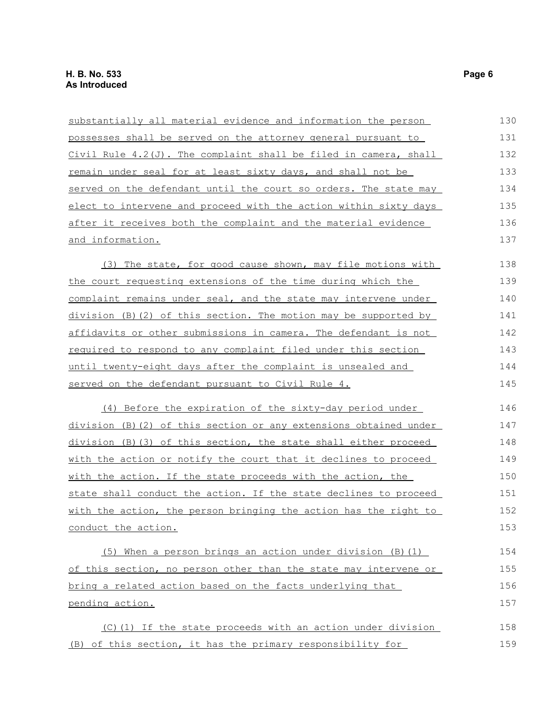| substantially all material evidence and information the person      | 130 |
|---------------------------------------------------------------------|-----|
| possesses shall be served on the attorney general pursuant to       | 131 |
| Civil Rule $4.2(J)$ . The complaint shall be filed in camera, shall | 132 |
| <u>remain under seal for at least sixty days, and shall not be</u>  | 133 |
| served on the defendant until the court so orders. The state may    | 134 |
| elect to intervene and proceed with the action within sixty days    | 135 |
| after it receives both the complaint and the material evidence      | 136 |
| and information.                                                    | 137 |
| (3) The state, for good cause shown, may file motions with          | 138 |
| the court requesting extensions of the time during which the        | 139 |
| complaint remains under seal, and the state may intervene under     | 140 |
| division (B)(2) of this section. The motion may be supported by     | 141 |
| affidavits or other submissions in camera. The defendant is not     | 142 |
| required to respond to any complaint filed under this section       | 143 |
| until twenty-eight days after the complaint is unsealed and         | 144 |
| served on the defendant pursuant to Civil Rule 4.                   | 145 |
| (4) Before the expiration of the sixty-day period under             | 146 |
| division (B) (2) of this section or any extensions obtained under   | 147 |
| division (B) (3) of this section, the state shall either proceed    | 148 |
| with the action or notify the court that it declines to proceed     | 149 |
| with the action. If the state proceeds with the action, the         | 150 |
| state shall conduct the action. If the state declines to proceed    | 151 |
| with the action, the person bringing the action has the right to    | 152 |
| conduct the action.                                                 | 153 |
| (5) When a person brings an action under division (B) (1)           | 154 |
| of this section, no person other than the state may intervene or    | 155 |
| bring a related action based on the facts underlying that           | 156 |
| pending action.                                                     | 157 |
| (C)(1) If the state proceeds with an action under division          | 158 |
| (B) of this section, it has the primary responsibility for          | 159 |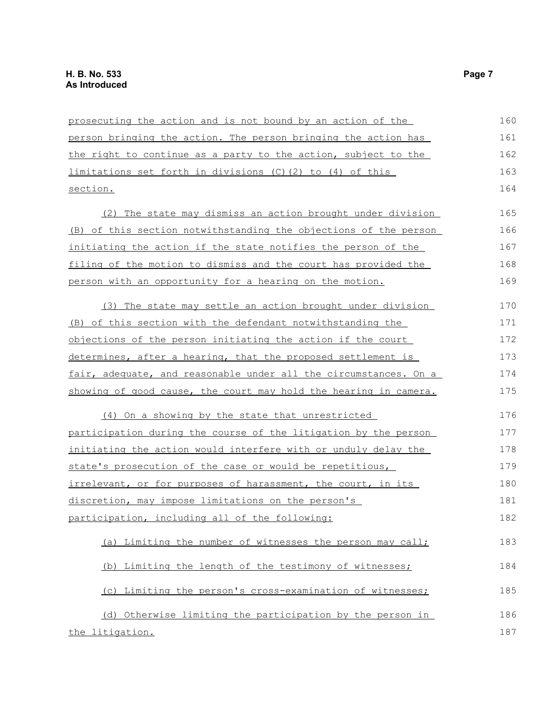| prosecuting the action and is not bound by an action of the      | 160 |
|------------------------------------------------------------------|-----|
| person bringing the action. The person bringing the action has   | 161 |
| the right to continue as a party to the action, subject to the   | 162 |
| limitations set forth in divisions $(C)$ $(2)$ to $(4)$ of this  | 163 |
| section.                                                         | 164 |
| (2) The state may dismiss an action brought under division       | 165 |
| (B) of this section notwithstanding the objections of the person | 166 |
| initiating the action if the state notifies the person of the    | 167 |
| filing of the motion to dismiss and the court has provided the   | 168 |
| person with an opportunity for a hearing on the motion.          | 169 |
| (3) The state may settle an action brought under division        | 170 |
| (B) of this section with the defendant notwithstanding the       | 171 |
| objections of the person initiating the action if the court      | 172 |
| determines, after a hearing, that the proposed settlement is     | 173 |
| fair, adequate, and reasonable under all the circumstances. On a | 174 |
| showing of good cause, the court may hold the hearing in camera. | 175 |
| (4) On a showing by the state that unrestricted                  | 176 |
| participation during the course of the litigation by the person  | 177 |
| initiating the action would interfere with or unduly delay the   | 178 |
| state's prosecution of the case or would be repetitious,         | 179 |
| irrelevant, or for purposes of harassment, the court, in its     | 180 |
| discretion, may impose limitations on the person's               | 181 |
| participation, including all of the following:                   | 182 |
| (a) Limiting the number of witnesses the person may call;        | 183 |
| (b) Limiting the length of the testimony of witnesses;           | 184 |
| (c) Limiting the person's cross-examination of witnesses;        | 185 |
| (d) Otherwise limiting the participation by the person in        | 186 |
| the litigation.                                                  | 187 |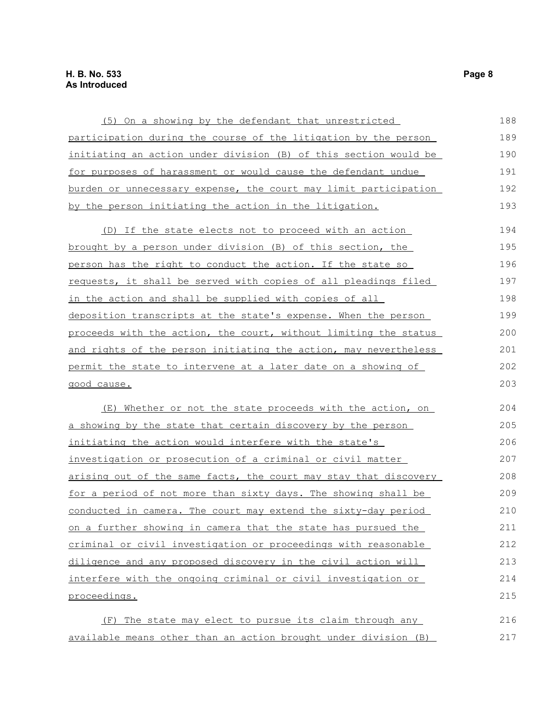| (5) On a showing by the defendant that unrestricted                   | 188 |
|-----------------------------------------------------------------------|-----|
| participation during the course of the litigation by the person       | 189 |
| initiating an action under division (B) of this section would be      | 190 |
| for purposes of harassment or would cause the defendant undue         | 191 |
| burden or unnecessary expense, the court may limit participation      | 192 |
| by the person initiating the action in the litigation.                | 193 |
| (D) If the state elects not to proceed with an action                 | 194 |
| brought by a person under division (B) of this section, the           | 195 |
| person has the right to conduct the action. If the state so           | 196 |
| requests, it shall be served with copies of all pleadings filed       | 197 |
| in the action and shall be supplied with copies of all                | 198 |
| deposition transcripts at the state's expense. When the person        | 199 |
| proceeds with the action, the court, without limiting the status      | 200 |
| and rights of the person initiating the action, may nevertheless      | 201 |
| permit the state to intervene at a later date on a showing of         | 202 |
| good cause.                                                           | 203 |
| (E) Whether or not the state proceeds with the action, on             | 204 |
| a showing by the state that certain discovery by the person           | 205 |
| initiating the action would interfere with the state's                | 206 |
| investigation or prosecution of a criminal or civil matter            | 207 |
| arising out of the same facts, the court may stay that discovery      | 208 |
| for a period of not more than sixty days. The showing shall be        | 209 |
| <u>conducted in camera. The court may extend the sixty-day period</u> | 210 |
| on a further showing in camera that the state has pursued the         | 211 |
| criminal or civil investigation or proceedings with reasonable        | 212 |
| diligence and any proposed discovery in the civil action will         | 213 |
| interfere with the ongoing criminal or civil investigation or         | 214 |
| proceedings.                                                          | 215 |
| (F) The state may elect to pursue its claim through any               | 216 |
| available means other than an action brought under division (B)       | 217 |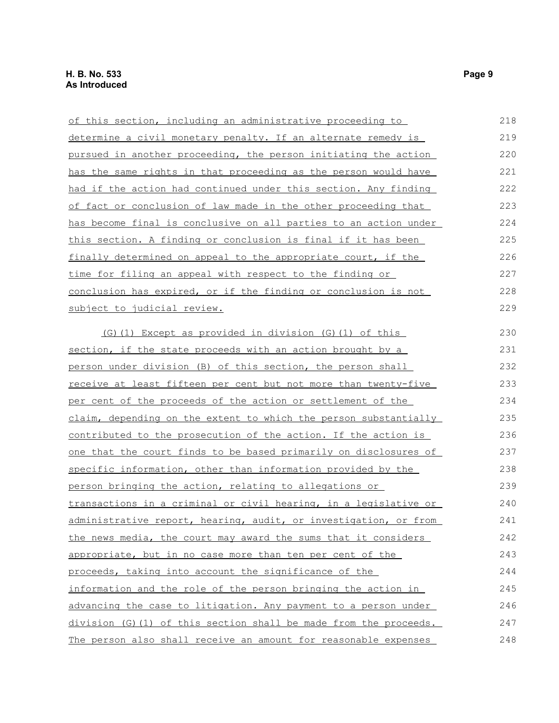| of this section, including an administrative proceeding to              | 218 |
|-------------------------------------------------------------------------|-----|
| determine a civil monetary penalty. If an alternate remedy is           | 219 |
| pursued in another proceeding, the person initiating the action         | 220 |
| has the same rights in that proceeding as the person would have         | 221 |
| had if the action had continued under this section. Any finding         | 222 |
| of fact or conclusion of law made in the other proceeding that          | 223 |
| has become final is conclusive on all parties to an action under        | 224 |
| this section. A finding or conclusion is final if it has been           | 225 |
| finally determined on appeal to the appropriate court, if the           | 226 |
| time for filing an appeal with respect to the finding or                | 227 |
| conclusion has expired, or if the finding or conclusion is not          | 228 |
| subject to judicial review.                                             | 229 |
| (G) (1) Except as provided in division (G) (1) of this                  | 230 |
| section, if the state proceeds with an action brought by a              | 231 |
| person under division (B) of this section, the person shall             | 232 |
| receive at least fifteen per cent but not more than twenty-five         | 233 |
| per cent of the proceeds of the action or settlement of the             | 234 |
| claim, depending on the extent to which the person substantially        | 235 |
| contributed to the prosecution of the action. If the action is          | 236 |
| <u>one that the court finds to be based primarily on disclosures of</u> | 237 |
| specific information, other than information provided by the            | 238 |
| person bringing the action, relating to allegations or                  | 239 |
| transactions in a criminal or civil hearing, in a legislative or        | 240 |
| administrative report, hearing, audit, or investigation, or from        | 241 |
| the news media, the court may award the sums that it considers          | 242 |
| appropriate, but in no case more than ten per cent of the               | 243 |
| proceeds, taking into account the significance of the                   | 244 |
| information and the role of the person bringing the action in           | 245 |
| advancing the case to litigation. Any payment to a person under         | 246 |
| division (G)(1) of this section shall be made from the proceeds.        | 247 |
| The person also shall receive an amount for reasonable expenses         | 248 |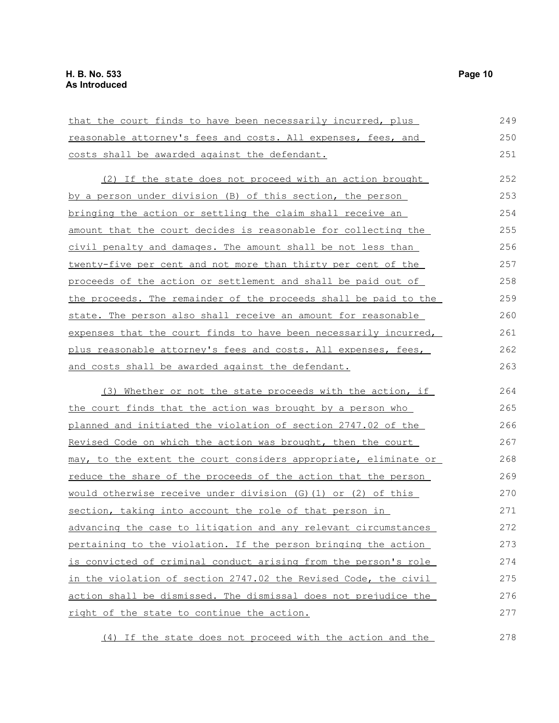| that the court finds to have been necessarily incurred, plus             | 249 |
|--------------------------------------------------------------------------|-----|
| reasonable attorney's fees and costs. All expenses, fees, and            | 250 |
| costs shall be awarded against the defendant.                            | 251 |
| (2) If the state does not proceed with an action brought                 | 252 |
| by a person under division (B) of this section, the person               | 253 |
| bringing the action or settling the claim shall receive an               | 254 |
| <u>amount that the court decides is reasonable for collecting the </u>   | 255 |
| civil penalty and damages. The amount shall be not less than             | 256 |
| twenty-five per cent and not more than thirty per cent of the            | 257 |
| <u>proceeds of the action or settlement and shall be paid out of</u>     | 258 |
| the proceeds. The remainder of the proceeds shall be paid to the         | 259 |
| state. The person also shall receive an amount for reasonable            | 260 |
| expenses that the court finds to have been necessarily incurred,         | 261 |
| plus reasonable attorney's fees and costs. All expenses, fees,           | 262 |
| and costs shall be awarded against the defendant.                        | 263 |
| (3) Whether or not the state proceeds with the action, if                | 264 |
| the court finds that the action was brought by a person who              | 265 |
| <u>planned and initiated the violation of section 2747.02 of the </u>    | 266 |
| Revised Code on which the action was brought, then the court             | 267 |
| <u>may, to the extent the court considers appropriate, eliminate or </u> | 268 |
| reduce the share of the proceeds of the action that the person           | 269 |
| would otherwise receive under division (G)(1) or (2) of this             | 270 |
| section, taking into account the role of that person in                  | 271 |
| advancing the case to litigation and any relevant circumstances          | 272 |
| pertaining to the violation. If the person bringing the action           | 273 |
| is convicted of criminal conduct arising from the person's role          | 274 |
| in the violation of section 2747.02 the Revised Code, the civil          | 275 |
| action shall be dismissed. The dismissal does not prejudice the          | 276 |
| right of the state to continue the action.                               | 277 |
|                                                                          |     |

(4) If the state does not proceed with the action and the 278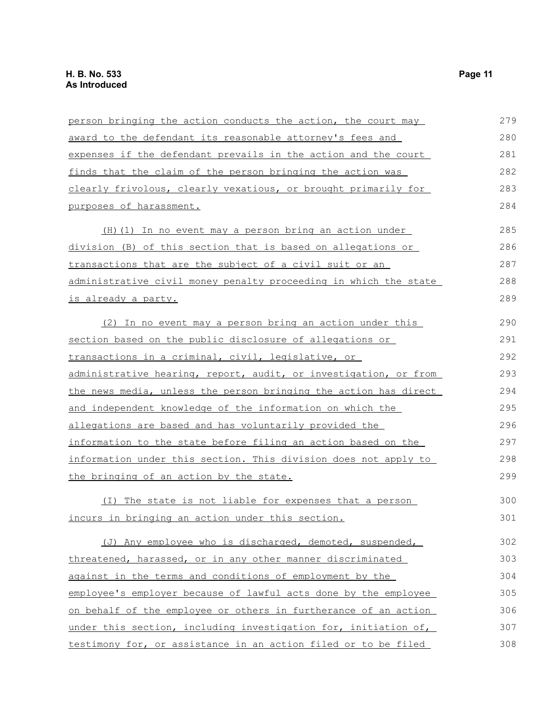| person bringing the action conducts the action, the court may        | 279 |
|----------------------------------------------------------------------|-----|
| award to the defendant its reasonable attorney's fees and            | 280 |
| expenses if the defendant prevails in the action and the court       | 281 |
| finds that the claim of the person bringing the action was           | 282 |
| clearly frivolous, clearly vexatious, or brought primarily for       | 283 |
| purposes of harassment.                                              | 284 |
| (H) (1) In no event may a person bring an action under               | 285 |
| <u>division (B) of this section that is based on allegations or </u> | 286 |
| transactions that are the subject of a civil suit or an              | 287 |
| administrative civil money penalty proceeding in which the state     | 288 |
| <u>is already a party.</u>                                           | 289 |
| (2) In no event may a person bring an action under this              | 290 |
| section based on the public disclosure of allegations or             | 291 |
| transactions in a criminal, civil, legislative, or                   | 292 |
| administrative hearing, report, audit, or investigation, or from     | 293 |
| the news media, unless the person bringing the action has direct     | 294 |
| and independent knowledge of the information on which the            | 295 |
| allegations are based and has voluntarily provided the               | 296 |
| information to the state before filing an action based on the        | 297 |
| information under this section. This division does not apply to      | 298 |
| the bringing of an action by the state.                              | 299 |
| <u>(I) The state is not liable for expenses that a person</u>        | 300 |
| incurs in bringing an action under this section.                     | 301 |
| (J) Any employee who is discharged, demoted, suspended,              | 302 |
| threatened, harassed, or in any other manner discriminated           | 303 |
| against in the terms and conditions of employment by the             | 304 |
| employee's employer because of lawful acts done by the employee      | 305 |
| on behalf of the employee or others in furtherance of an action      | 306 |
| under this section, including investigation for, initiation of,      | 307 |
| testimony for, or assistance in an action filed or to be filed       | 308 |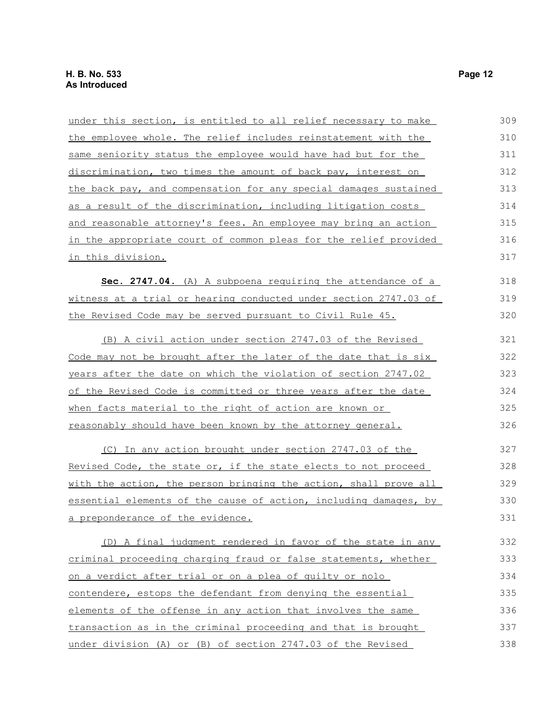| under this section, is entitled to all relief necessary to make  | 309 |
|------------------------------------------------------------------|-----|
| the employee whole. The relief includes reinstatement with the   | 310 |
| same seniority status the employee would have had but for the    | 311 |
| discrimination, two times the amount of back pay, interest on    | 312 |
| the back pay, and compensation for any special damages sustained | 313 |
| as a result of the discrimination, including litigation costs    | 314 |
| and reasonable attorney's fees. An employee may bring an action  | 315 |
| in the appropriate court of common pleas for the relief provided | 316 |
| <u>in this division.</u>                                         | 317 |
| Sec. 2747.04. (A) A subpoena requiring the attendance of a       | 318 |
| witness at a trial or hearing conducted under section 2747.03 of | 319 |
| the Revised Code may be served pursuant to Civil Rule 45.        | 320 |
| (B) A civil action under section 2747.03 of the Revised          | 321 |
| Code may not be brought after the later of the date that is six  | 322 |
| years after the date on which the violation of section 2747.02   | 323 |
| of the Revised Code is committed or three years after the date   | 324 |
| when facts material to the right of action are known or          | 325 |
| reasonably should have been known by the attorney general.       | 326 |
| (C) In any action brought under section 2747.03 of the           | 327 |
| Revised Code, the state or, if the state elects to not proceed   | 328 |
| with the action, the person bringing the action, shall prove all | 329 |
| essential elements of the cause of action, including damages, by | 330 |
| a preponderance of the evidence.                                 | 331 |
| (D) A final judgment rendered in favor of the state in any       | 332 |
| criminal proceeding charging fraud or false statements, whether  | 333 |
| on a verdict after trial or on a plea of quilty or nolo          | 334 |
| contendere, estops the defendant from denying the essential      | 335 |
| elements of the offense in any action that involves the same     | 336 |
| transaction as in the criminal proceeding and that is brought    | 337 |
| under division (A) or (B) of section 2747.03 of the Revised      | 338 |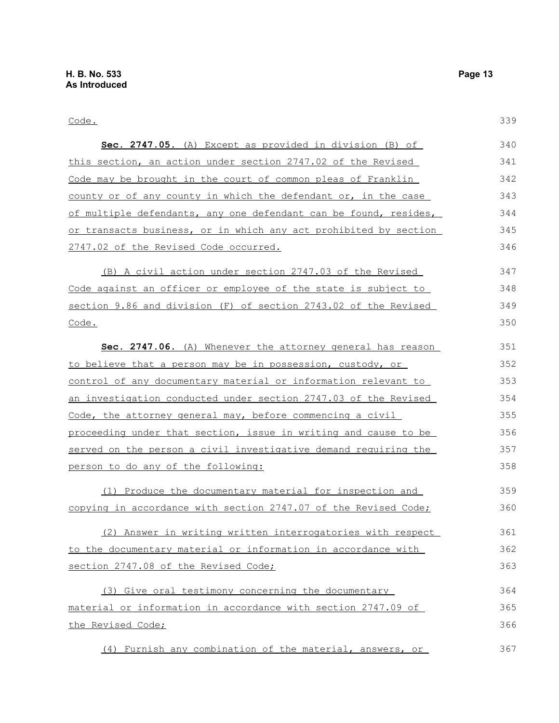#### Code.

339

| Sec. 2747.05. (A) Except as provided in division (B) of          | 340 |
|------------------------------------------------------------------|-----|
| this section, an action under section 2747.02 of the Revised     | 341 |
| Code may be brought in the court of common pleas of Franklin     | 342 |
| county or of any county in which the defendant or, in the case   | 343 |
| of multiple defendants, any one defendant can be found, resides, | 344 |
| or transacts business, or in which any act prohibited by section | 345 |
| 2747.02 of the Revised Code occurred.                            | 346 |
| (B) A civil action under section 2747.03 of the Revised          | 347 |
| Code against an officer or employee of the state is subject to   | 348 |
| section 9.86 and division (F) of section 2743.02 of the Revised  | 349 |
| Code.                                                            | 350 |
| Sec. 2747.06. (A) Whenever the attorney general has reason       | 351 |
| to believe that a person may be in possession, custody, or       | 352 |
| control of any documentary material or information relevant to   | 353 |
| an investigation conducted under section 2747.03 of the Revised  | 354 |
| Code, the attorney general may, before commencing a civil        | 355 |
| proceeding under that section, issue in writing and cause to be  | 356 |
| served on the person a civil investigative demand requiring the  | 357 |
| person to do any of the following:                               | 358 |
| (1) Produce the documentary material for inspection and          | 359 |
| copying in accordance with section 2747.07 of the Revised Code;  | 360 |
| (2) Answer in writing written interrogatories with respect       | 361 |
| to the documentary material or information in accordance with    | 362 |
| section 2747.08 of the Revised Code;                             | 363 |
| (3) Give oral testimony concerning the documentary               | 364 |
| material or information in accordance with section 2747.09 of    | 365 |
| the Revised Code;                                                | 366 |
| (4) Furnish any combination of the material, answers, or         | 367 |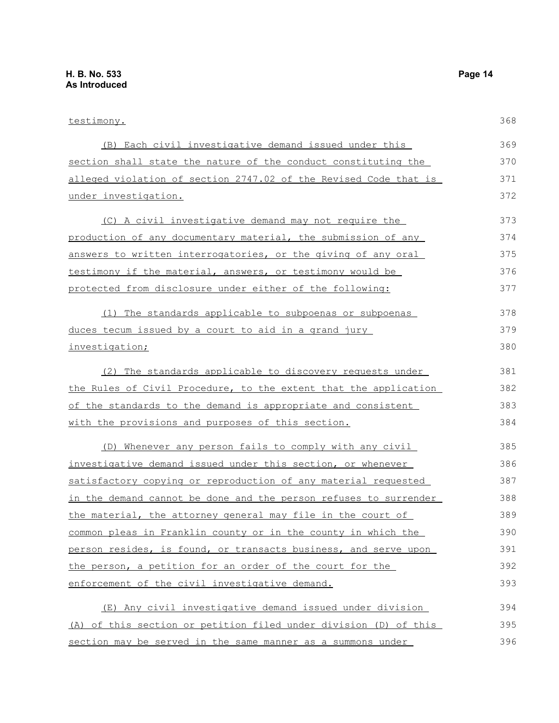testimony. (B) Each civil investigative demand issued under this section shall state the nature of the conduct constituting the alleged violation of section 2747.02 of the Revised Code that is under investigation. (C) A civil investigative demand may not require the production of any documentary material, the submission of any answers to written interrogatories, or the giving of any oral testimony if the material, answers, or testimony would be protected from disclosure under either of the following: (1) The standards applicable to subpoenas or subpoenas duces tecum issued by a court to aid in a grand jury investigation; (2) The standards applicable to discovery requests under the Rules of Civil Procedure, to the extent that the application of the standards to the demand is appropriate and consistent with the provisions and purposes of this section. (D) Whenever any person fails to comply with any civil investigative demand issued under this section, or whenever satisfactory copying or reproduction of any material requested in the demand cannot be done and the person refuses to surrender the material, the attorney general may file in the court of common pleas in Franklin county or in the county in which the person resides, is found, or transacts business, and serve upon the person, a petition for an order of the court for the enforcement of the civil investigative demand. (E) Any civil investigative demand issued under division (A) of this section or petition filed under division (D) of this 368 369 370 371 372 373 374 375 376 377 378 379 380 381 382 383 384 385 386 387 388 389 390 391 392 393 394 395

section may be served in the same manner as a summons under 396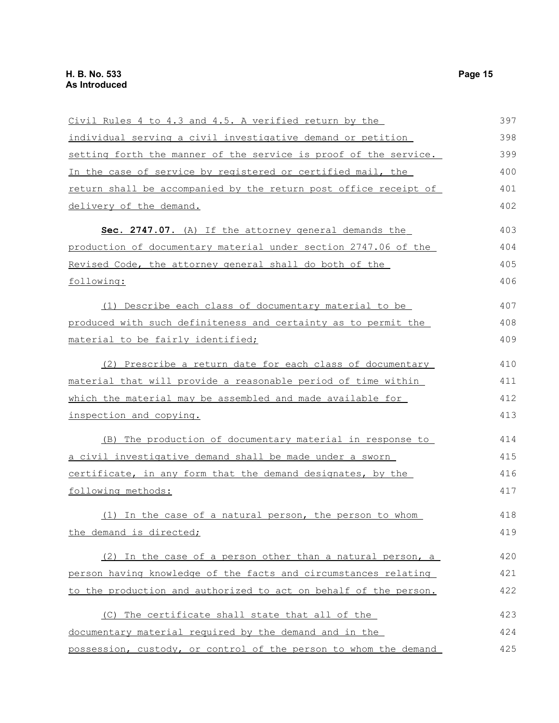| Civil Rules 4 to 4.3 and 4.5. A verified return by the           | 397 |
|------------------------------------------------------------------|-----|
| individual serving a civil investigative demand or petition      | 398 |
| setting forth the manner of the service is proof of the service. | 399 |
| In the case of service by registered or certified mail, the      | 400 |
| return shall be accompanied by the return post office receipt of | 401 |
| delivery of the demand.                                          | 402 |
| Sec. 2747.07. (A) If the attorney general demands the            | 403 |
| production of documentary material under section 2747.06 of the  | 404 |
| Revised Code, the attorney general shall do both of the          | 405 |
| following:                                                       | 406 |
| (1) Describe each class of documentary material to be            | 407 |
| produced with such definiteness and certainty as to permit the   | 408 |
| <u>material to be fairly identified;</u>                         | 409 |
| (2) Prescribe a return date for each class of documentary        | 410 |
| material that will provide a reasonable period of time within    | 411 |
| which the material may be assembled and made available for       | 412 |
| inspection and copying.                                          | 413 |
| (B) The production of documentary material in response to        | 414 |
| a civil investigative demand shall be made under a sworn         | 415 |
| certificate, in any form that the demand designates, by the      | 416 |
| following methods:                                               | 417 |
| (1) In the case of a natural person, the person to whom          | 418 |
| the demand is directed;                                          | 419 |
| (2) In the case of a person other than a natural person, a       | 420 |
| person having knowledge of the facts and circumstances relating  | 421 |
| to the production and authorized to act on behalf of the person. | 422 |
| (C) The certificate shall state that all of the                  | 423 |
| documentary material required by the demand and in the           | 424 |
| possession, custody, or control of the person to whom the demand | 425 |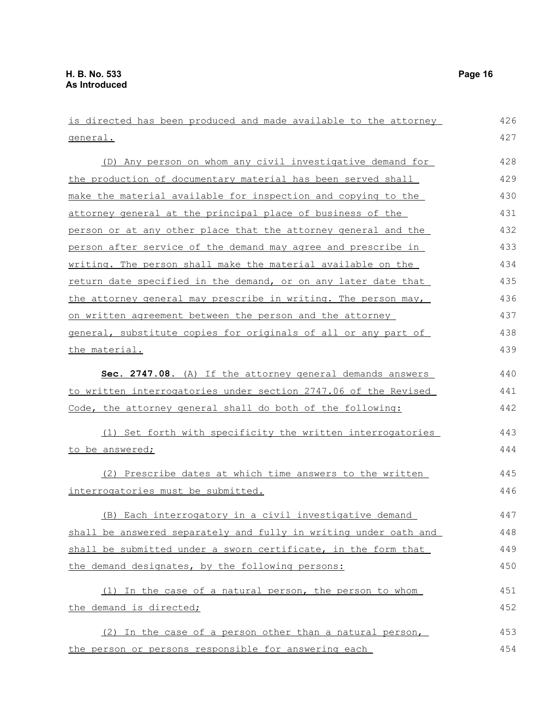is directed has been produced and made available to the attorney general. (D) Any person on whom any civil investigative demand for the production of documentary material has been served shall make the material available for inspection and copying to the attorney general at the principal place of business of the person or at any other place that the attorney general and the person after service of the demand may agree and prescribe in writing. The person shall make the material available on the return date specified in the demand, or on any later date that the attorney general may prescribe in writing. The person may, on written agreement between the person and the attorney general, substitute copies for originals of all or any part of the material. **Sec. 2747.08.** (A) If the attorney general demands answers to written interrogatories under section 2747.06 of the Revised Code, the attorney general shall do both of the following: (1) Set forth with specificity the written interrogatories to be answered; (2) Prescribe dates at which time answers to the written interrogatories must be submitted. (B) Each interrogatory in a civil investigative demand shall be answered separately and fully in writing under oath and shall be submitted under a sworn certificate, in the form that the demand designates, by the following persons: (1) In the case of a natural person, the person to whom the demand is directed; (2) In the case of a person other than a natural person, the person or persons responsible for answering each 426 427 428 429 430 431 432 433 434 435 436 437 438 439 440 441 442 443 444 445 446 447 448 449 450 451 452 453 454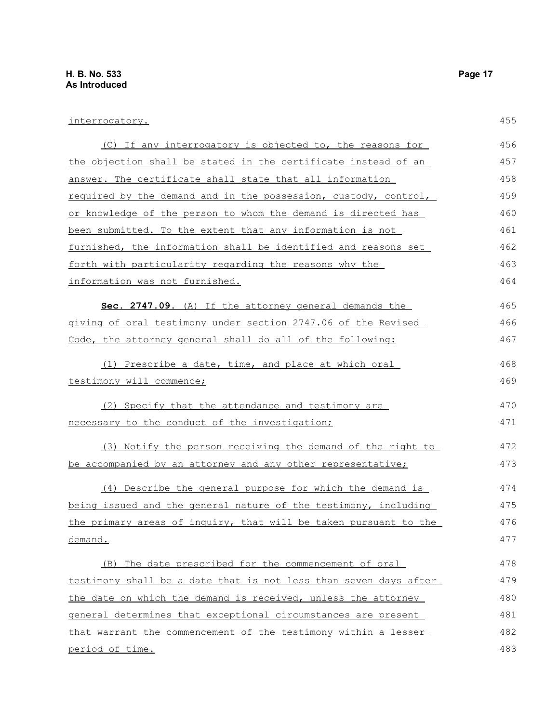455

| (C) If any interrogatory is objected to, the reasons for              | 456 |
|-----------------------------------------------------------------------|-----|
| the objection shall be stated in the certificate instead of an        | 457 |
| <u>answer. The certificate shall state that all information</u>       | 458 |
| required by the demand and in the possession, custody, control,       | 459 |
| <u>or knowledge of the person to whom the demand is directed has </u> | 460 |
| been submitted. To the extent that any information is not             | 461 |
| furnished, the information shall be identified and reasons set        | 462 |
| forth with particularity regarding the reasons why the                | 463 |
| information was not furnished.                                        | 464 |
| Sec. 2747.09. (A) If the attorney general demands the                 | 465 |
| giving of oral testimony under section 2747.06 of the Revised         | 466 |
| Code, the attorney general shall do all of the following:             | 467 |
| (1) Prescribe a date, time, and place at which oral                   | 468 |
| testimony will commence;                                              | 469 |
| (2) Specify that the attendance and testimony are                     | 470 |
| necessary to the conduct of the investigation;                        | 471 |
| (3) Notify the person receiving the demand of the right to            | 472 |
| be accompanied by an attorney and any other representative;           | 473 |
| (4) Describe the general purpose for which the demand is              | 474 |
| being issued and the general nature of the testimony, including       | 475 |
| the primary areas of inquiry, that will be taken pursuant to the      | 476 |
| demand.                                                               | 477 |
| (B) The date prescribed for the commencement of oral                  | 478 |
| testimony shall be a date that is not less than seven days after      | 479 |
| the date on which the demand is received, unless the attorney         | 480 |
| general determines that exceptional circumstances are present         | 481 |
| that warrant the commencement of the testimony within a lesser        | 482 |
| period of time.                                                       | 483 |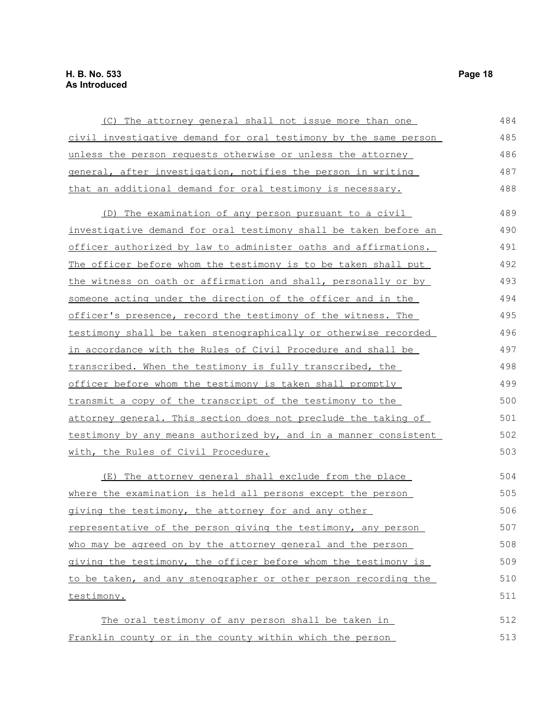#### **H. B. No. 533 Page 18 As Introduced**

| (C) The attorney general shall not issue more than one           | 484 |
|------------------------------------------------------------------|-----|
| civil investigative demand for oral testimony by the same person | 485 |
| unless the person requests otherwise or unless the attorney      | 486 |
| general, after investigation, notifies the person in writing     | 487 |
| that an additional demand for oral testimony is necessary.       | 488 |
| (D) The examination of any person pursuant to a civil            | 489 |
| investigative demand for oral testimony shall be taken before an | 490 |
| officer authorized by law to administer oaths and affirmations.  | 491 |
| The officer before whom the testimony is to be taken shall put   | 492 |
| the witness on oath or affirmation and shall, personally or by   | 493 |
| someone acting under the direction of the officer and in the     | 494 |
| officer's presence, record the testimony of the witness. The     | 495 |
| testimony shall be taken stenographically or otherwise recorded  | 496 |
| in accordance with the Rules of Civil Procedure and shall be     | 497 |
| transcribed. When the testimony is fully transcribed, the        | 498 |
| officer before whom the testimony is taken shall promptly        | 499 |
| transmit a copy of the transcript of the testimony to the        | 500 |
| attorney general. This section does not preclude the taking of   | 501 |
| testimony by any means authorized by, and in a manner consistent | 502 |
| with, the Rules of Civil Procedure.                              | 503 |
| (E) The attorney general shall exclude from the place            | 504 |
| where the examination is held all persons except the person      | 505 |
| giving the testimony, the attorney for and any other             | 506 |
| representative of the person giving the testimony, any person    | 507 |
| who may be agreed on by the attorney general and the person      | 508 |
| giving the testimony, the officer before whom the testimony is   | 509 |
| to be taken, and any stenographer or other person recording the  | 510 |
| testimony.                                                       | 511 |
| The oral testimony of any person shall be taken in               | 512 |
| Franklin county or in the county within which the person         | 513 |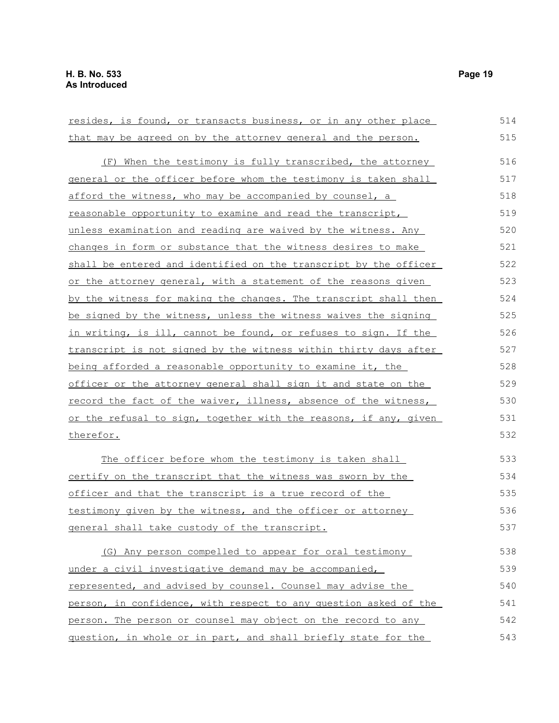| resides, is found, or transacts business, or in any other place   | 514 |
|-------------------------------------------------------------------|-----|
| that may be agreed on by the attorney general and the person.     | 515 |
| (F) When the testimony is fully transcribed, the attorney         | 516 |
| general or the officer before whom the testimony is taken shall   | 517 |
| afford the witness, who may be accompanied by counsel, a          | 518 |
| <u>reasonable opportunity to examine and read the transcript,</u> | 519 |
| unless examination and reading are waived by the witness. Any     | 520 |
| changes in form or substance that the witness desires to make     | 521 |
| shall be entered and identified on the transcript by the officer  | 522 |
| or the attorney general, with a statement of the reasons given    | 523 |
| by the witness for making the changes. The transcript shall then  | 524 |
| be signed by the witness, unless the witness waives the signing   | 525 |
| in writing, is ill, cannot be found, or refuses to sign. If the   | 526 |
| transcript is not signed by the witness within thirty days after  | 527 |
| being afforded a reasonable opportunity to examine it, the        | 528 |
| officer or the attorney general shall sign it and state on the    | 529 |
| record the fact of the waiver, illness, absence of the witness,   | 530 |
| or the refusal to sign, together with the reasons, if any, given  | 531 |
| therefor.                                                         | 532 |
| The officer before whom the testimony is taken shall              | 533 |
| certify on the transcript that the witness was sworn by the       | 534 |
| <u>officer and that the transcript is a true record of the</u>    | 535 |
| testimony given by the witness, and the officer or attorney       | 536 |
| general shall take custody of the transcript.                     | 537 |
| (G) Any person compelled to appear for oral testimony             | 538 |
| under a civil investigative demand may be accompanied,            | 539 |
| represented, and advised by counsel. Counsel may advise the       | 540 |
| person, in confidence, with respect to any question asked of the  | 541 |
| person. The person or counsel may object on the record to any     | 542 |
| question, in whole or in part, and shall briefly state for the    | 543 |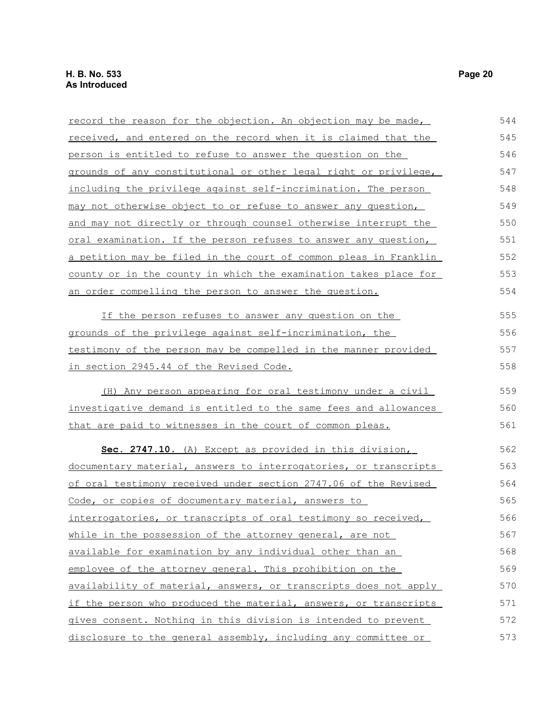| <u>record the reason for the objection. An objection may be made,</u> | 544 |
|-----------------------------------------------------------------------|-----|
| received, and entered on the record when it is claimed that the       | 545 |
| person is entitled to refuse to answer the question on the            | 546 |
| grounds of any constitutional or other legal right or privilege,      | 547 |
| including the privilege against self-incrimination. The person        | 548 |
| may not otherwise object to or refuse to answer any question,         | 549 |
| and may not directly or through counsel otherwise interrupt the       | 550 |
| oral examination. If the person refuses to answer any question,       | 551 |
| a petition may be filed in the court of common pleas in Franklin      | 552 |
| county or in the county in which the examination takes place for      | 553 |
| an order compelling the person to answer the question.                | 554 |
| If the person refuses to answer any question on the                   | 555 |
| grounds of the privilege against self-incrimination, the              | 556 |
| testimony of the person may be compelled in the manner provided       | 557 |
| in section 2945.44 of the Revised Code.                               | 558 |
| (H) Any person appearing for oral testimony under a civil             | 559 |
| investigative demand is entitled to the same fees and allowances      | 560 |
| that are paid to witnesses in the court of common pleas.              | 561 |
| Sec. 2747.10. (A) Except as provided in this division,                | 562 |
| documentary material, answers to interrogatories, or transcripts      | 563 |
| of oral testimony received under section 2747.06 of the Revised       | 564 |
| Code, or copies of documentary material, answers to                   | 565 |
| interrogatories, or transcripts of oral testimony so received,        | 566 |
| while in the possession of the attorney general, are not              | 567 |
| available for examination by any individual other than an             | 568 |
| employee of the attorney general. This prohibition on the             | 569 |
| availability of material, answers, or transcripts does not apply      | 570 |
| if the person who produced the material, answers, or transcripts      | 571 |
| gives consent. Nothing in this division is intended to prevent        | 572 |
| disclosure to the general assembly, including any committee or        | 573 |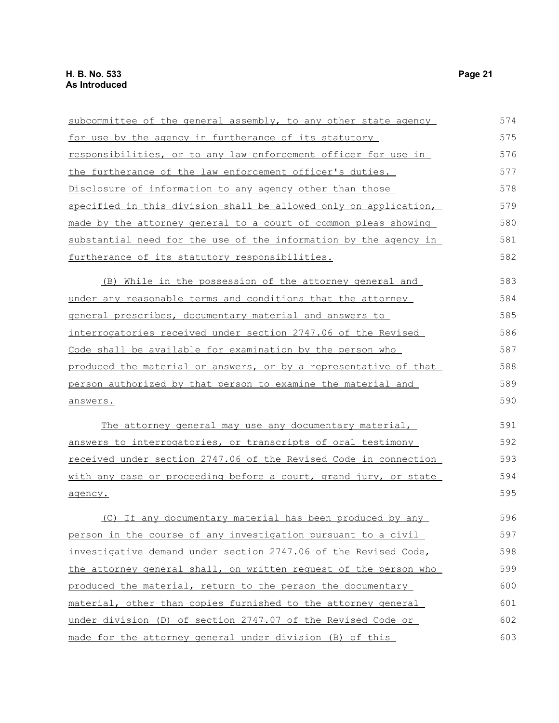| subcommittee of the general assembly, to any other state agency  | 574 |
|------------------------------------------------------------------|-----|
| for use by the agency in furtherance of its statutory            | 575 |
| responsibilities, or to any law enforcement officer for use in   | 576 |
| the furtherance of the law enforcement officer's duties.         | 577 |
| Disclosure of information to any agency other than those         | 578 |
| specified in this division shall be allowed only on application, | 579 |
| made by the attorney general to a court of common pleas showing  | 580 |
| substantial need for the use of the information by the agency in | 581 |
| furtherance of its statutory responsibilities.                   | 582 |
| (B) While in the possession of the attorney general and          | 583 |
| under any reasonable terms and conditions that the attorney      | 584 |
| general prescribes, documentary material and answers to          | 585 |
| interrogatories received under section 2747.06 of the Revised    | 586 |
| Code shall be available for examination by the person who        | 587 |
| produced the material or answers, or by a representative of that | 588 |
| person authorized by that person to examine the material and     | 589 |
| answers.                                                         | 590 |
| The attorney general may use any documentary material,           | 591 |
| answers to interrogatories, or transcripts of oral testimony     | 592 |
| received under section 2747.06 of the Revised Code in connection | 593 |
| with any case or proceeding before a court, grand jury, or state | 594 |
| agency.                                                          | 595 |
| (C) If any documentary material has been produced by any         | 596 |
| person in the course of any investigation pursuant to a civil    | 597 |
| investigative demand under section 2747.06 of the Revised Code,  | 598 |
| the attorney general shall, on written request of the person who | 599 |
| produced the material, return to the person the documentary      | 600 |
| material, other than copies furnished to the attorney general    | 601 |
| under division (D) of section 2747.07 of the Revised Code or     | 602 |
| made for the attorney general under division (B) of this         | 603 |